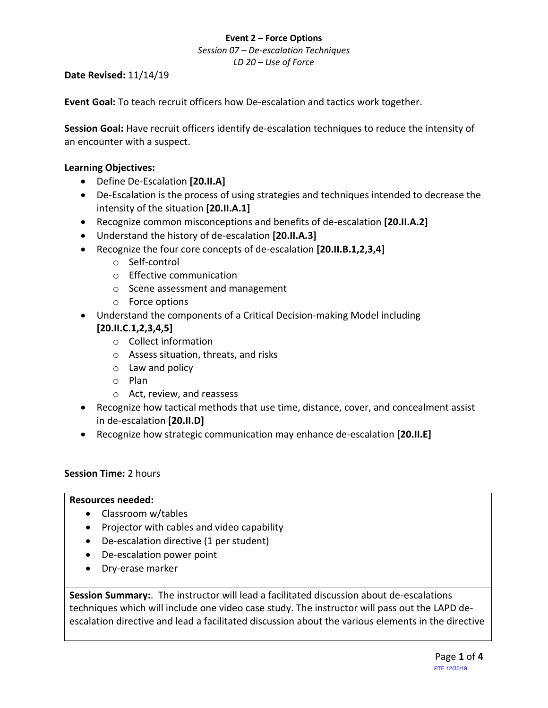## **Event 2 – Force Options**

*Session 07 – De-escalation Techniques LD 20 – Use of Force*

### **Date Revised:** 11/14/19

**Event Goal:** To teach recruit officers how De-escalation and tactics work together.

**Session Goal:** Have recruit officers identify de-escalation techniques to reduce the intensity of an encounter with a suspect.

### **Learning Objectives:**

- Define De-Escalation **[20.II.A]**
- De-Escalation is the process of using strategies and techniques intended to decrease the intensity of the situation **[20.II.A.1]**
- Recognize common misconceptions and benefits of de-escalation **[20.II.A.2]**
- Understand the history of de-escalation **[20.II.A.3]**
- Recognize the four core concepts of de-escalation **[20.II.B.1,2,3,4]**
	- o Self-control
	- o Effective communication
	- o Scene assessment and management
	- o Force options
- Understand the components of a Critical Decision-making Model including **[20.II.C.1,2,3,4,5]**
	- o Collect information
	- o Assess situation, threats, and risks
	- $\circ$  Law and policy
	- o Plan
	- o Act, review, and reassess
- Recognize how tactical methods that use time, distance, cover, and concealment assist in de-escalation **[20.II.D]**
- Recognize how strategic communication may enhance de-escalation **[20.II.E]**

# **Session Time:** 2 hours

#### **Resources needed:**

- Classroom w/tables
- Projector with cables and video capability
- De-escalation directive (1 per student)
- De-escalation power point
- Dry-erase marker

**Session Summary:**. The instructor will lead a facilitated discussion about de-escalations techniques which will include one video case study. The instructor will pass out the LAPD deescalation directive and lead a facilitated discussion about the various elements in the directive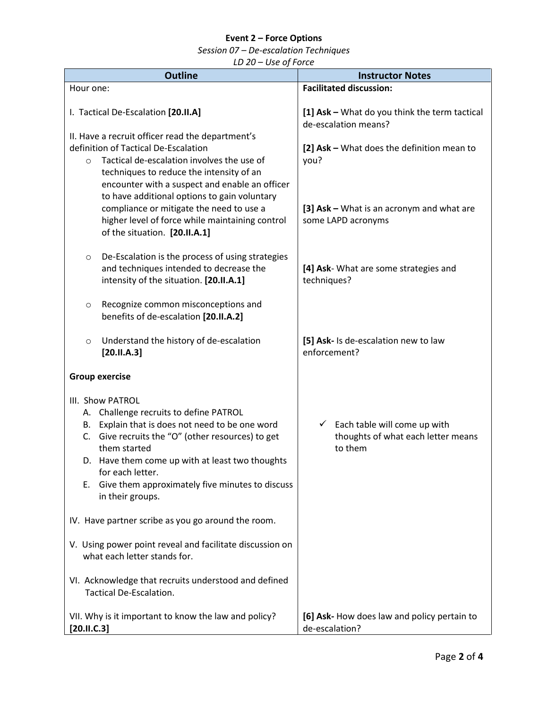# **Event 2 – Force Options**

*Session 07 – De-escalation Techniques*

*LD 20 – Use of Force*

| 느巴 느ㅁ<br><b>Outline</b>                                                                                                                                                                                                                                                                                                                   | <b>Instructor Notes</b>                                                                    |  |
|-------------------------------------------------------------------------------------------------------------------------------------------------------------------------------------------------------------------------------------------------------------------------------------------------------------------------------------------|--------------------------------------------------------------------------------------------|--|
| Hour one:                                                                                                                                                                                                                                                                                                                                 | <b>Facilitated discussion:</b>                                                             |  |
| I. Tactical De-Escalation [20.II.A]                                                                                                                                                                                                                                                                                                       | [1] Ask - What do you think the term tactical<br>de-escalation means?                      |  |
| II. Have a recruit officer read the department's<br>definition of Tactical De-Escalation<br>Tactical de-escalation involves the use of<br>$\circ$<br>techniques to reduce the intensity of an<br>encounter with a suspect and enable an officer<br>to have additional options to gain voluntary                                           | [2] Ask - What does the definition mean to<br>you?                                         |  |
| compliance or mitigate the need to use a<br>higher level of force while maintaining control<br>of the situation. [20.II.A.1]                                                                                                                                                                                                              | [3] Ask – What is an acronym and what are<br>some LAPD acronyms                            |  |
| De-Escalation is the process of using strategies<br>$\circ$<br>and techniques intended to decrease the<br>intensity of the situation. [20.II.A.1]                                                                                                                                                                                         | [4] Ask- What are some strategies and<br>techniques?                                       |  |
| Recognize common misconceptions and<br>$\circ$<br>benefits of de-escalation [20.II.A.2]                                                                                                                                                                                                                                                   |                                                                                            |  |
| Understand the history of de-escalation<br>$\circ$<br>[20.11.A.3]                                                                                                                                                                                                                                                                         | [5] Ask- Is de-escalation new to law<br>enforcement?                                       |  |
| <b>Group exercise</b>                                                                                                                                                                                                                                                                                                                     |                                                                                            |  |
| III. Show PATROL<br>A. Challenge recruits to define PATROL<br>Explain that is does not need to be one word<br>В.<br>C. Give recruits the "O" (other resources) to get<br>them started<br>D. Have them come up with at least two thoughts<br>for each letter.<br>Give them approximately five minutes to discuss<br>Е.<br>in their groups. | $\checkmark$ Each table will come up with<br>thoughts of what each letter means<br>to them |  |
| IV. Have partner scribe as you go around the room.                                                                                                                                                                                                                                                                                        |                                                                                            |  |
| V. Using power point reveal and facilitate discussion on<br>what each letter stands for.                                                                                                                                                                                                                                                  |                                                                                            |  |
| VI. Acknowledge that recruits understood and defined<br>Tactical De-Escalation.                                                                                                                                                                                                                                                           |                                                                                            |  |
| VII. Why is it important to know the law and policy?<br>[20.11.C.3]                                                                                                                                                                                                                                                                       | [6] Ask- How does law and policy pertain to<br>de-escalation?                              |  |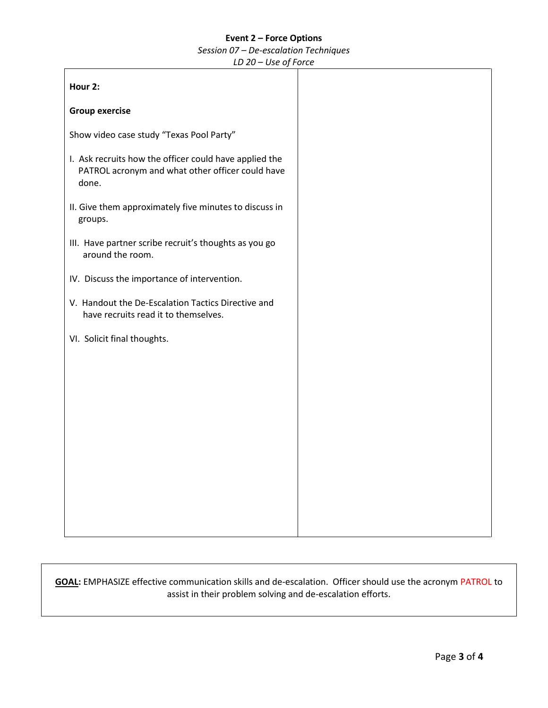#### **Event 2 – Force Options**

*Session 07 – De-escalation Techniques*

*LD 20 – Use of Force*

| Hour 2:                                                                                                             |  |
|---------------------------------------------------------------------------------------------------------------------|--|
| <b>Group exercise</b>                                                                                               |  |
| Show video case study "Texas Pool Party"                                                                            |  |
| I. Ask recruits how the officer could have applied the<br>PATROL acronym and what other officer could have<br>done. |  |
| II. Give them approximately five minutes to discuss in<br>groups.                                                   |  |
| III. Have partner scribe recruit's thoughts as you go<br>around the room.                                           |  |
| IV. Discuss the importance of intervention.                                                                         |  |
| V. Handout the De-Escalation Tactics Directive and<br>have recruits read it to themselves.                          |  |
| VI. Solicit final thoughts.                                                                                         |  |
|                                                                                                                     |  |
|                                                                                                                     |  |
|                                                                                                                     |  |
|                                                                                                                     |  |
|                                                                                                                     |  |
|                                                                                                                     |  |
|                                                                                                                     |  |

**GOAL:** EMPHASIZE effective communication skills and de-escalation. Officer should use the acronym PATROL to assist in their problem solving and de-escalation efforts.